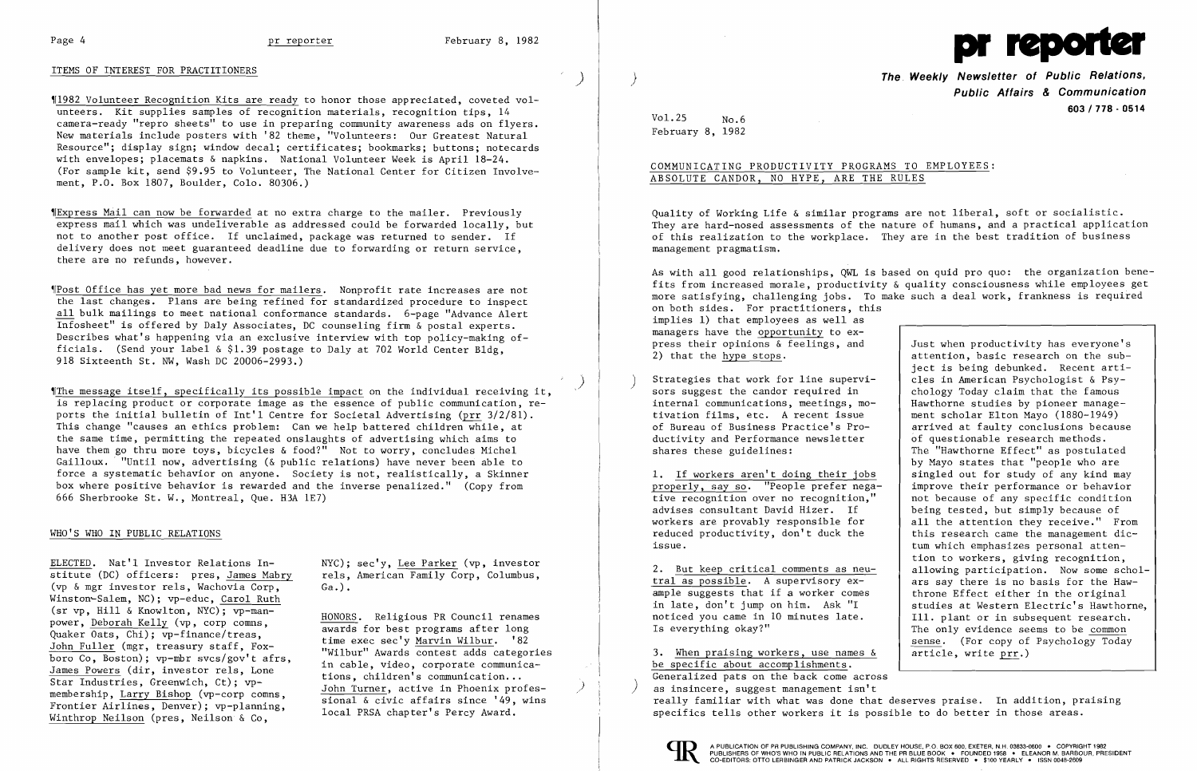# ITEMS OF INTEREST FOR PRACTITIONERS )

~11982 Volunteer Recognition Kits are ready to honor those appreciated, coveted volunteers. Kit supplies samples of recognition materials, recognition tips, 14 camera-ready "repro sheets" to use in preparing community awareness ads on flyers. New materials include posters with '82 theme, "Volunteers: Our Greatest Natural Resource"; display sign; window decal; certificates; bookmarks; buttons; notecards with envelopes; placemats & napkins. National Volunteer Week is April 18-24. (For sample kit, send \$9.95 to Volunteer, The National Center for Citizen Involvement, P.O. Box 1807, Boulder, Colo. 80306.)

~IExpress Mail can now be forwarded at no extra charge to the mailer. Previously express mail which was undeliverable as addressed could be forwarded locally, but not to another post office. If unclaimed, package was returned to sender. If delivery does not meet guaranteed deadline due to forwarding or return service, there are no refunds, however.

 $\|$ The message itself, specifically its possible impact on the individual receiving it, is replacing product or corporate image as the essence of public communication, reports the initial bulletin of  $Int'1$  Centre for Societal Advertising (prr  $3/2/81$ ). This change "causes an ethics problem: Can we help battered children while, at the same time, permitting the repeated onslaughts of advertising which aims to have them go thru more toys, bicycles & food?" Not to worry, concludes Michel Gailloux. "Until now, advertising (& public relations) have never been able to force a systematic behavior on anyone. Society is not, realistically, a Skinner box where positive behavior is rewarded and the inverse penalized." (Copy from 666 Sherbrooke St. W., Montreal, Que. H3A 1E7)

~IPost Office has yet more bad news for mailers. Nonprofit rate increases are not the last changes. Plans are being refined for standardized procedure to inspect all bulk mailings to meet national conformance standards. 6-page "Advance Alert Infosheet" is offered by Daly Associates, DC counseling firm & postal experts. Describes what's happening via an exclusive interview with top policy-making officials. (Send your label  $\&$  \$1.39 postage to Daly at 702 World Center Bldg, 918 Sixteenth St. NW, Wash DC 20006-2993.)

)

**The Weekly Newsletter of Public Relations, Public Affairs & Communication 603/778·0514** 

ject is being debunked. Recent arti-<br>cles in American Psychologist & Psyarrived at faulty conclusions because of questionable research methods. The "Hawthorne Effect" as postulated by Mayo states that "people who are<br>singled out for study of any kind may 1. If workers aren't doing their jobs singled out for study of any kind may properly, say so. "People prefer nega-<br> $\begin{array}{|l|l|}\n\end{array}$  improve their performance or behavior all the attention they receive." From<br>this research came the management diction to workers, giving recognition, 2. But keep critical comments as neu-<br>tral as possible. A supervisory  $ex-$ <br>ars say there is no basis for the Haw- $\frac{\text{tral as possible}}{\text{ample}}$ . A supervisory ex-<br>ample suggests that if a worker comes<br>throne Effect either in the original throne Effect either in the original<br>studies at Western Electric's Hawthorne, The only evidence seems to be common sense. (For copy of Psychology Today article, write prr.)

 $Vol. 25$  No.6 February 8, 1982

As with all good relationships, QWL is based on quid pro quo: the organization benefits from increased morale, productivity & quality consciousness while employees get more satisfying, challenging jobs. To make such a deal work, frankness is required on both sides. For practitioners, this implies 1) that employees as well as managers have the opportunity to express their opinions  $\δ$  feelings, and  $\left\{\begin{array}{c}$  Just when productivity has everyone's  $2)$  that the hype stops. attention, basic research on the sub-

### WHO'S WHO IN PUBLIC RELATIONS

ELECTED. Nat'l Investor Relations In-<br>stitute (DC) officers: pres, James Mabry rels, American Family Corp, Columbus, stitute (DC) officers: pres, James Mabry (vp & mgr investor rels, Wachovia Corp, Ga.) • Winston~Salem, NC); vp-educ, Carol Ruth (sr vp, Hill & Knowlton, NYC); vp-man-<br>power, Deborah Kelly (vp, corp comms,  $\frac{\text{HONORS}}{\text{HONORS}}}$ . Religious PR Council renames power, <u>Deborah Kelly</u> (vp, corp comms,<br>
Quaker Oats, Chi); vp-finance/treas,<br>
John Fuller (mgr, treasury staff, Fox-<br>
boro Co, Boston); vp-mbr svcs/gov't afrs,<br>
James Powers (dir, investor rels, Lone<br>
Star Industries, Gre

Strategies that work for line supervi-<br>sors suggest the candor required in  $\left\{\n\begin{array}{c}\n\text{cles in American Psychology} \\
\text{chology Today claim that the famous}\n\end{array}\n\right\}$ sors suggest the candor required in  $\left\{\n\begin{array}{c}\n\text{chology Today claim that the famous\n}\n\text{internal communications, meetings, mo--} & \text{Hawthorne studies by pioneer manage--}\n\end{array}\n\right.$ internal communications, meetings, mo-<br>tivation films, etc. A recent issue tivation films, etc. A recent issue<br>
of Bureau of Business Practice's Pro-<br>
arrived at faulty conclusions becaus ductivity and Performance newsletter shares these guidelines:

properly, say so. "People prefer nega-<br>tive recognition over no recognition," tive recognition over no recognition," and a because of any specific condition advises consultant David Hizer. If seeing tested, but simply because of advises consultant David Hizer. If being tested, but simply because of workers are provably responsible for all the attention they receive." Fre reduced productivity, don't duck the issue. tum which emphasizes personal atten-

in late, don't jump on him. Ask "I studies at Western Electric's Hawthorne, noticed you came in 10 minutes late. | Ill. plant or in subsequent research. noticed you came in 10 minutes late.<br>Is everything okay?"

3. When praising workers, use names  $\&$ be specific about accomplishments. Generalized pats on the back come across<br>as insincere, suggest management isn't really familiar with what was done that deserves praise. In addition, praising specifics tells other workers it is possible to do better in those areas.





# COMMUNICATING PRODUCTIVITY PROGRAMS TO EMPLOYEES: ABSOLUTE CANDOR, NO HYPE, ARE THE RULES

Quality of Working Life & similar programs are not liberal, soft or socialistic. They are hard-nosed assessments of the nature of humans, and a practical application of this realization to the workplace. They are in the best tradition of business management pragmatism.